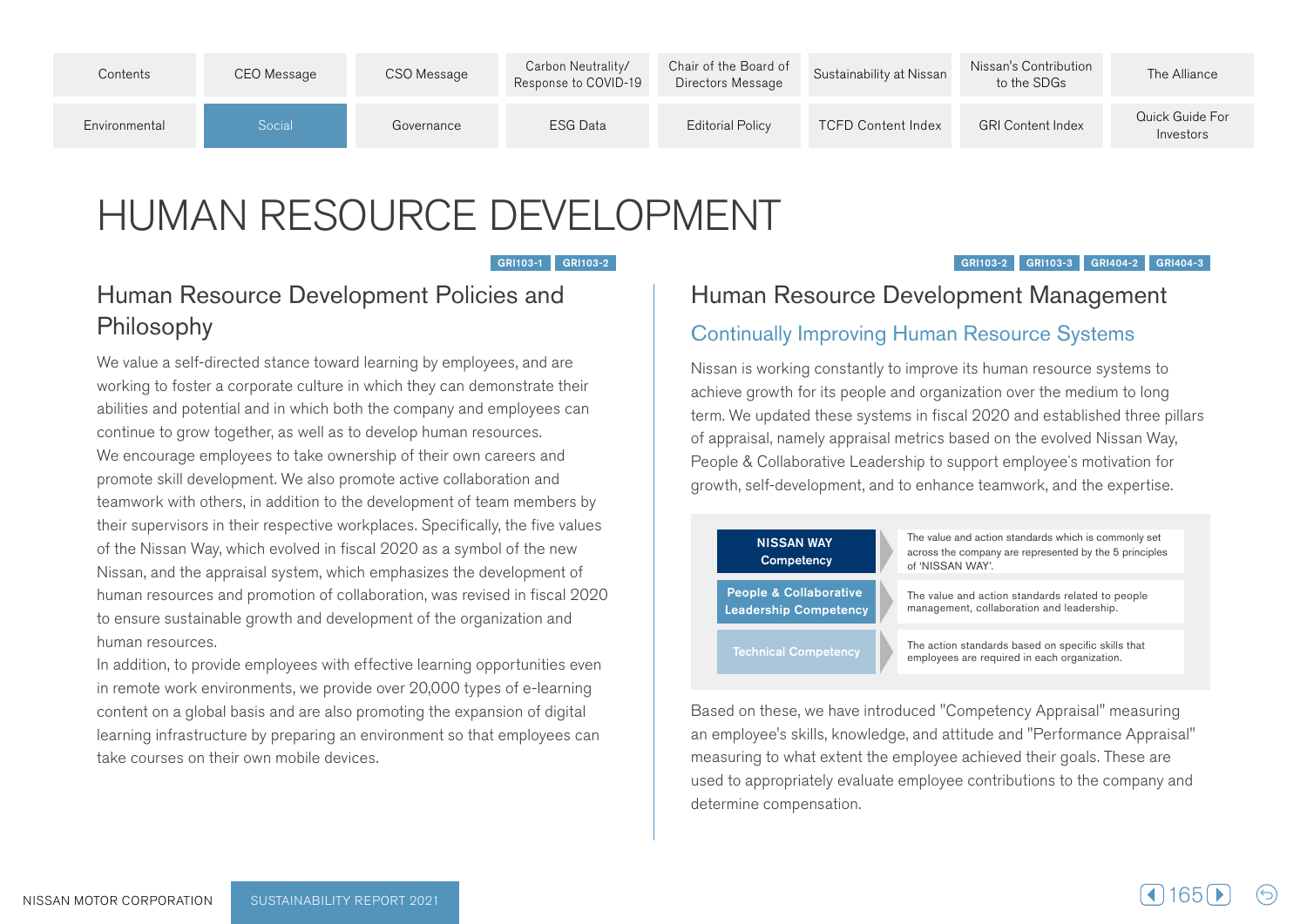

# HUMAN RESOURCE DEVELOPMENT

#### GRI103-1 GRI103-2

#### GRI103-2 GRI103-3 GRI404-2 GRI404-3

# Human Resource Development Policies and Philosophy

We value a self-directed stance toward learning by employees, and are working to foster a corporate culture in which they can demonstrate their abilities and potential and in which both the company and employees can continue to grow together, as well as to develop human resources. We encourage employees to take ownership of their own careers and promote skill development. We also promote active collaboration and teamwork with others, in addition to the development of team members by their supervisors in their respective workplaces. Specifically, the five values of the Nissan Way, which evolved in fiscal 2020 as a symbol of the new Nissan, and the appraisal system, which emphasizes the development of human resources and promotion of collaboration, was revised in fiscal 2020 to ensure sustainable growth and development of the organization and human resources

In addition, to provide employees with effective learning opportunities even in remote work environments, we provide over 20,000 types of e-learning content on a global basis and are also promoting the expansion of digital learning infrastructure by preparing an environment so that employees can take courses on their own mobile devices

## Human Resource Development Management

## Continually Improving Human Resource Systems

Nissan is working constantly to improve its human resource systems to achieve growth for its people and organization over the medium to long term. We updated these systems in fiscal 2020 and established three pillars of appraisal, namely appraisal metrics based on the evolved Nissan Way, Feople & Collaborative Leadership to support employee's motivation for growth, self-development, and to enhance teamwork, and the expertise.

#### **NISSAN WAY Competency**

The value and action standards which is commonly set across the company are represented by the 5 principles of 'NISSAN WAY'.

People & Collaborative **Leadership Competency** 

The value and action standards related to people management, collaboration and leadership.

**Technical Competency** 

The action standards based on specific skills that employees are required in each organization.

Based on these, we have introduced "Competency Appraisal" measuring an employee's skills, knowledge, and attitude and "Performance Appraisal" measuring to what extent the employee achieved their goals. These are used to appropriately evaluate employee contributions to the company and determine compensation.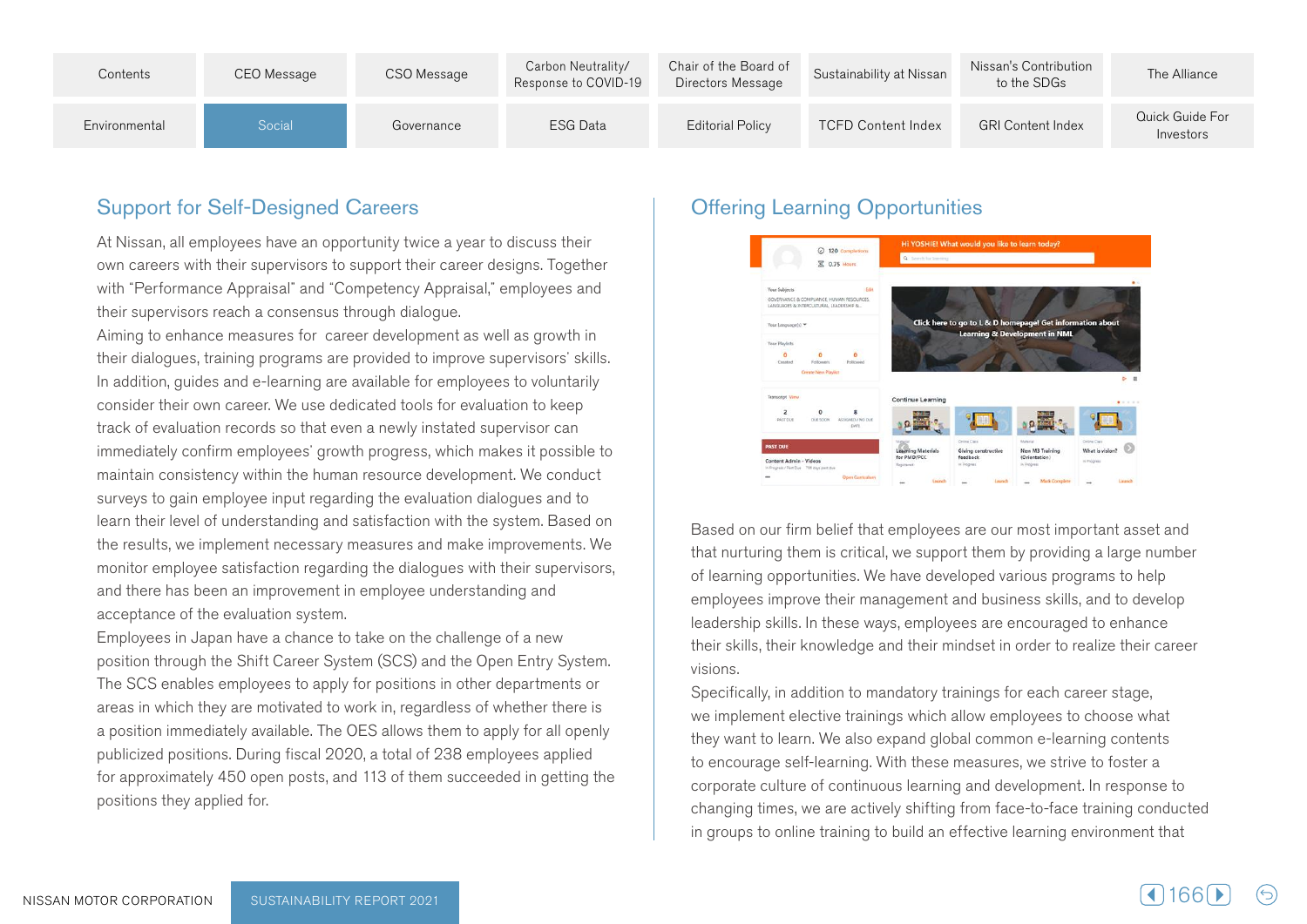

## **Support for Self-Designed Careers**

At Nissan, all employees have an opportunity twice a year to discuss their own careers with their supervisors to support their career designs. Together with "Performance Appraisal" and "Competency Appraisal," employees and their supervisors reach a consensus through dialogue.

Aiming to enhance measures for career development as well as growth in their dialogues, training programs are provided to improve supervisors' skills. In addition, quides and e-learning are available for employees to voluntarily consider their own career. We use dedicated tools for evaluation to keep track of evaluation records so that even a newly instated supervisor can immediately confirm employees' growth progress, which makes it possible to maintain consistency within the human resource development. We conduct surveys to gain employee input regarding the evaluation dialogues and to learn their level of understanding and satisfaction with the system. Based on the results, we implement necessary measures and make improvements. We monitor employee satisfaction regarding the dialogues with their supervisors, and there has been an improvement in employee understanding and acceptance of the evaluation system.

Employees in Japan have a chance to take on the challenge of a new position through the Shift Career System (SCS) and the Open Entry System. The SCS enables employees to apply for positions in other departments or areas in which they are motivated to work in, regardless of whether there is a position immediately available. The OES allows them to apply for all openly publicized positions. During fiscal 2020, a total of 238 employees applied for approximately 450 open posts, and 113 of them succeeded in getting the positions they applied for.

## **Offering Learning Opportunities**



Based on our firm belief that employees are our most important asset and that nurturing them is critical, we support them by providing a large number of learning opportunities. We have developed various programs to help employees improve their management and business skills, and to develop leadership skills. In these ways, employees are encouraged to enhance their skills, their knowledge and their mindset in order to realize their career .visions

Specifically, in addition to mandatory trainings for each career stage, we implement elective trainings which allow employees to choose what they want to learn. We also expand global common e-learning contents to encourage self-learning. With these measures, we strive to foster a corporate culture of continuous learning and development. In response to changing times, we are actively shifting from face-to-face training conducted in groups to online training to build an effective learning environment that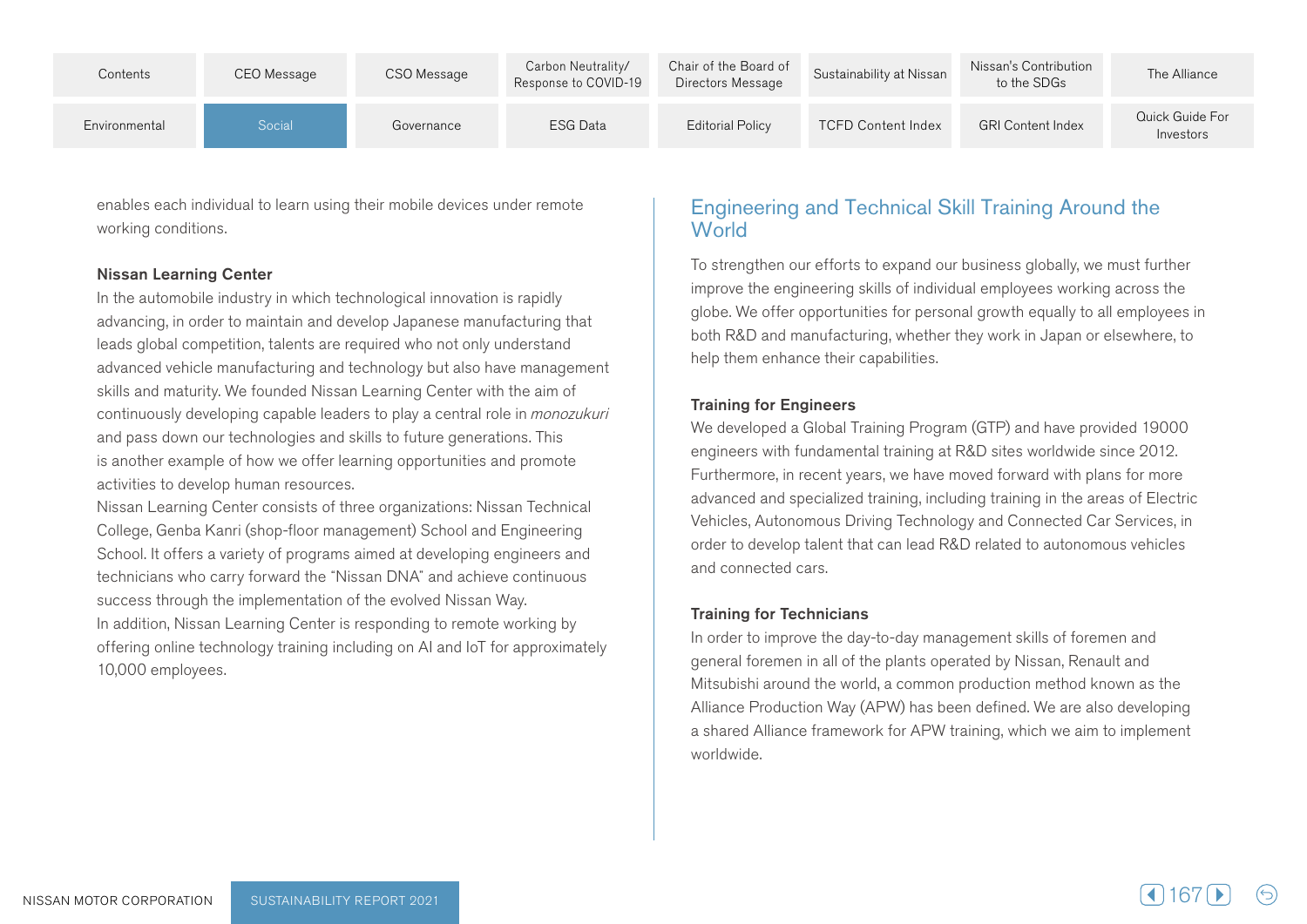| Contents      | CEO Message | CSO Message | Carbon Neutrality/<br>Response to COVID-19 | Chair of the Board of<br>Directors Message | Sustainability at Nissan  | Nissan's Contribution<br>to the SDGs | The Alliance                 |
|---------------|-------------|-------------|--------------------------------------------|--------------------------------------------|---------------------------|--------------------------------------|------------------------------|
| Environmental | Social      | Governance  | ESG Data                                   | <b>Editorial Policy</b>                    | <b>TCFD Content Index</b> | <b>GRI Content Index</b>             | Quick Guide For<br>Investors |

enables each individual to learn using their mobile devices under remote working conditions.

#### **Nissan Learning Center**

In the automobile industry in which technological innovation is rapidly advancing, in order to maintain and develop Japanese manufacturing that leads global competition, talents are required who not only understand advanced vehicle manufacturing and technology but also have management skills and maturity. We founded Nissan Learning Center with the aim of continuously developing capable leaders to play a central role in *monozukuri* and pass down our technologies and skills to future generations. This is another example of how we offer learning opportunities and promote activities to develop human resources.

Nissan Learning Center consists of three organizations: Nissan Technical College, Genba Kanri (shop-floor management) School and Engineering School. It offers a variety of programs aimed at developing engineers and technicians who carry forward the "Nissan DNA" and achieve continuous success through the implementation of the evolved Nissan Way. In addition, Nissan Learning Center is responding to remote working by offering online technology training including on AI and IoT for approximately 10,000 employees.

### Engineering and Technical Skill Training Around the **World**

To strengthen our efforts to expand our business globally, we must further improve the engineering skills of individual employees working across the globe. We offer opportunities for personal growth equally to all employees in both R&D and manufacturing, whether they work in Japan or elsewhere, to help them enhance their capabilities.

#### **Training for Engineers**

We developed a Global Training Program (GTP) and have provided 19000 engineers with fundamental training at R&D sites worldwide since 2012. Furthermore, in recent years, we have moved forward with plans for more advanced and specialized training, including training in the areas of Electric Vehicles, Autonomous Driving Technology and Connected Car Services, in order to develop talent that can lead R&D related to autonomous vehicles and connected cars.

#### **Training for Technicians**

In order to improve the day-to-day management skills of foremen and general foremen in all of the plants operated by Nissan, Renault and Mitsubishi around the world, a common production method known as the Alliance Production Way (APW) has been defined. We are also developing a shared Alliance framework for APW training, which we aim to implement .worldwide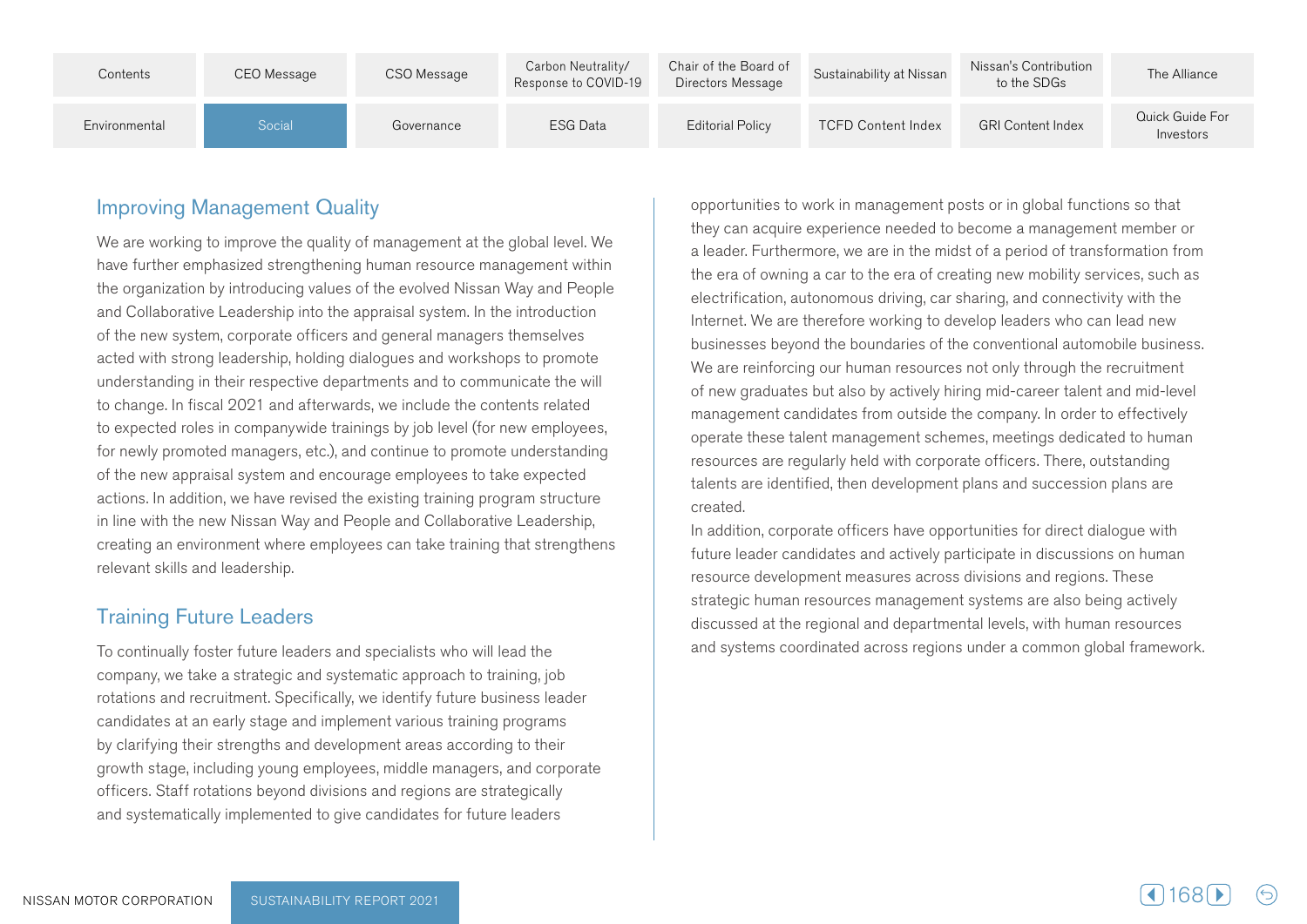| Contents      | CEO Message | CSO Message | Carbon Neutrality/<br>Response to COVID-19 | Chair of the Board of<br>Directors Message | Sustainability at Nissan  | Nissan's Contribution<br>to the SDGs | The Alliance                 |
|---------------|-------------|-------------|--------------------------------------------|--------------------------------------------|---------------------------|--------------------------------------|------------------------------|
| Environmental | Social      | Governance  | <b>ESG Data</b>                            | <b>Editorial Policy</b>                    | <b>TCFD Content Index</b> | <b>GRI Content Index</b>             | Quick Guide For<br>Investors |

## **Improving Management Quality**

We are working to improve the quality of management at the global level. We have further emphasized strengthening human resource management within the organization by introducing values of the evolved Nissan Way and People and Collaborative Leadership into the appraisal system. In the introduction of the new system, corporate officers and general managers themselves acted with strong leadership, holding dialogues and workshops to promote understanding in their respective departments and to communicate the will to change. In fiscal 2021 and afterwards, we include the contents related to expected roles in companywide trainings by job level (for new employees, for newly promoted managers, etc.), and continue to promote understanding of the new appraisal system and encourage employees to take expected actions. In addition, we have revised the existing training program structure in line with the new Nissan Way and People and Collaborative Leadership, creating an environment where employees can take training that strengthens relevant skills and leadership.

## **Training Future Leaders**

To continually foster future leaders and specialists who will lead the company, we take a strategic and systematic approach to training, job rotations and recruitment. Specifically, we identify future business leader candidates at an early stage and implement various training programs by clarifying their strengths and development areas according to their growth stage, including young employees, middle managers, and corporate officers. Staff rotations beyond divisions and regions are strategically and systematically implemented to give candidates for future leaders

opportunities to work in management posts or in global functions so that they can acquire experience needed to become a management member or a leader. Furthermore, we are in the midst of a period of transformation from the era of owning a car to the era of creating new mobility services, such as electrification, autonomous driving, car sharing, and connectivity with the Internet. We are therefore working to develop leaders who can lead new businesses beyond the boundaries of the conventional automobile business. We are reinforcing our human resources not only through the recruitment of new graduates but also by actively hiring mid-career talent and mid-level management candidates from outside the company. In order to effectively operate these talent management schemes, meetings dedicated to human resources are regularly held with corporate officers. There, outstanding talents are identified, then development plans and succession plans are .created

In addition, corporate officers have opportunities for direct dialogue with future leader candidates and actively participate in discussions on human resource development measures across divisions and regions. These strategic human resources management systems are also being actively discussed at the regional and departmental levels, with human resources and systems coordinated across regions under a common global framework.